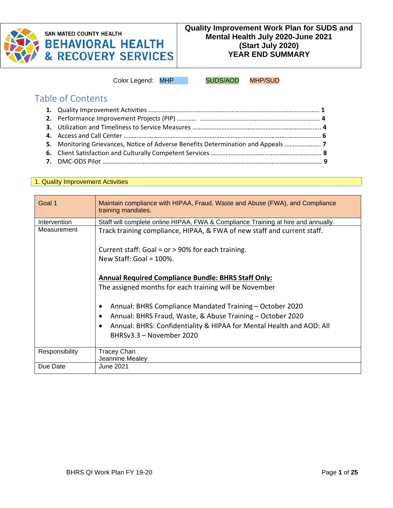

# **SAN MATEO COUNTY HEALTH BEHAVIORAL HEALTH & RECOVERY SERVICES**

Color Legend: MHP SUDS/AOD MHP/SUD

# Table of Contents

| 5. Monitoring Grievances, Notice of Adverse Benefits Determination and Appeals |  |
|--------------------------------------------------------------------------------|--|
|                                                                                |  |
|                                                                                |  |
|                                                                                |  |

#### 1. Quality Improvement Activities

| Goal 1         | Maintain compliance with HIPAA, Fraud, Waste and Abuse (FWA), and Compliance<br>training mandates. |
|----------------|----------------------------------------------------------------------------------------------------|
| Intervention   | Staff will complete online HIPAA, FWA & Compliance Training at hire and annually.                  |
| Measurement    | Track training compliance, HIPAA, & FWA of new staff and current staff.                            |
|                | Current staff: Goal = $or$ > 90% for each training.                                                |
|                | New Staff: Goal = $100\%$ .                                                                        |
|                | <b>Annual Required Compliance Bundle: BHRS Staff Only:</b>                                         |
|                | The assigned months for each training will be November                                             |
|                | Annual: BHRS Compliance Mandated Training – October 2020                                           |
|                | Annual: BHRS Fraud, Waste, & Abuse Training - October 2020                                         |
|                | Annual: BHRS: Confidentiality & HIPAA for Mental Health and AOD: All                               |
|                | BHRSv3.3 - November 2020                                                                           |
| Responsibility | <b>Tracey Chan</b>                                                                                 |
|                | Jeannine Mealey                                                                                    |
| Due Date       | June 2021                                                                                          |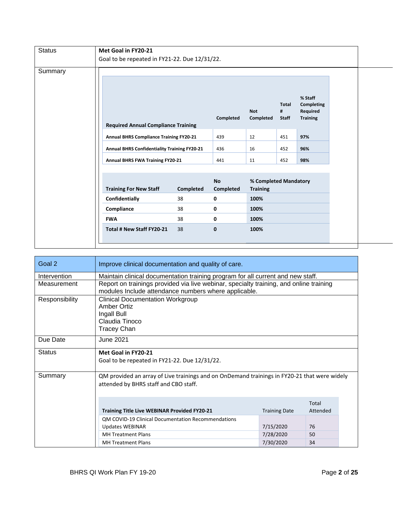| <b>Status</b> | Met Goal in FY20-21                            |                  |                        |                                          |                                   |                                                      |
|---------------|------------------------------------------------|------------------|------------------------|------------------------------------------|-----------------------------------|------------------------------------------------------|
|               | Goal to be repeated in FY21-22. Due 12/31/22.  |                  |                        |                                          |                                   |                                                      |
| Summary       |                                                |                  | Completed              | <b>Not</b><br>Completed                  | <b>Total</b><br>#<br><b>Staff</b> | % Staff<br>Completing<br>Required<br><b>Training</b> |
|               | <b>Required Annual Compliance Training</b>     |                  |                        |                                          |                                   |                                                      |
|               | <b>Annual BHRS Compliance Training FY20-21</b> |                  | 439                    | 12                                       | 451                               | 97%                                                  |
|               | Annual BHRS Confidentiality Training FY20-21   |                  | 436                    | 16                                       | 452                               | 96%                                                  |
|               | <b>Annual BHRS FWA Training FY20-21</b>        |                  | 441                    | 11                                       | 452                               | 98%                                                  |
|               |                                                |                  |                        |                                          |                                   |                                                      |
|               | <b>Training For New Staff</b>                  | <b>Completed</b> | <b>No</b><br>Completed | % Completed Mandatory<br><b>Training</b> |                                   |                                                      |
|               | Confidentially                                 | 38               | 0                      | 100%                                     |                                   |                                                      |
|               | Compliance                                     | 38               | 0                      | 100%                                     |                                   |                                                      |
|               | <b>FWA</b>                                     | 38               | 0                      | 100%                                     |                                   |                                                      |
|               | Total # New Staff FY20-21                      | 38               | $\mathbf{0}$           | 100%                                     |                                   |                                                      |
|               |                                                |                  |                        |                                          |                                   |                                                      |

| Goal 2                                                                                                                                           | Improve clinical documentation and quality of care.                                                                                            |                      |          |  |
|--------------------------------------------------------------------------------------------------------------------------------------------------|------------------------------------------------------------------------------------------------------------------------------------------------|----------------------|----------|--|
| Intervention                                                                                                                                     | Maintain clinical documentation training program for all current and new staff.                                                                |                      |          |  |
| Measurement                                                                                                                                      | Report on trainings provided via live webinar, specialty training, and online training<br>modules Include attendance numbers where applicable. |                      |          |  |
| Responsibility                                                                                                                                   | <b>Clinical Documentation Workgroup</b><br>Amber Ortiz<br>Ingall Bull<br>Claudia Tinoco<br><b>Tracey Chan</b>                                  |                      |          |  |
| Due Date                                                                                                                                         | June 2021                                                                                                                                      |                      |          |  |
| <b>Status</b>                                                                                                                                    | Met Goal in FY20-21<br>Goal to be repeated in FY21-22. Due 12/31/22.                                                                           |                      |          |  |
| Summary<br>QM provided an array of Live trainings and on OnDemand trainings in FY20-21 that were widely<br>attended by BHRS staff and CBO staff. |                                                                                                                                                |                      |          |  |
|                                                                                                                                                  |                                                                                                                                                |                      | Total    |  |
|                                                                                                                                                  | <b>Training Title Live WEBINAR Provided FY20-21</b>                                                                                            | <b>Training Date</b> | Attended |  |
|                                                                                                                                                  | QM COVID-19 Clinical Documentation Recommendations                                                                                             |                      |          |  |
|                                                                                                                                                  | <b>Updates WEBINAR</b>                                                                                                                         | 7/15/2020            | 76       |  |
|                                                                                                                                                  | <b>MH Treatment Plans</b>                                                                                                                      | 7/28/2020            | 50       |  |
|                                                                                                                                                  | <b>MH Treatment Plans</b>                                                                                                                      | 7/30/2020            | 34       |  |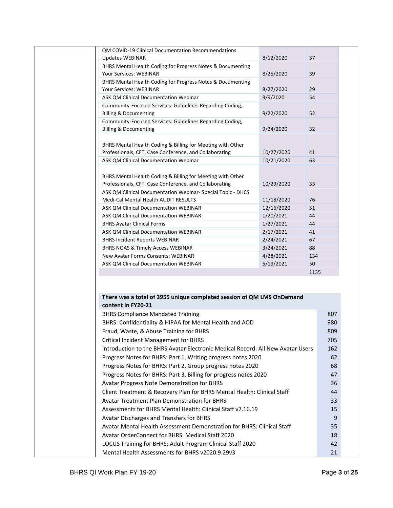| QM COVID-19 Clinical Documentation Recommendations                                                                              |            |                                                                                     |
|---------------------------------------------------------------------------------------------------------------------------------|------------|-------------------------------------------------------------------------------------|
| <b>Updates WEBINAR</b>                                                                                                          | 8/12/2020  | 37                                                                                  |
| BHRS Mental Health Coding for Progress Notes & Documenting                                                                      |            |                                                                                     |
| <b>Your Services: WEBINAR</b>                                                                                                   | 8/25/2020  | 39                                                                                  |
| BHRS Mental Health Coding for Progress Notes & Documenting                                                                      |            |                                                                                     |
| Your Services: WEBINAR                                                                                                          | 8/27/2020  | 29                                                                                  |
| ASK QM Clinical Documentation Webinar                                                                                           | 9/9/2020   | 54                                                                                  |
| Community-Focused Services: Guidelines Regarding Coding,                                                                        |            |                                                                                     |
| <b>Billing &amp; Documenting</b>                                                                                                | 9/22/2020  | 52                                                                                  |
| Community-Focused Services: Guidelines Regarding Coding,                                                                        |            |                                                                                     |
| <b>Billing &amp; Documenting</b>                                                                                                | 9/24/2020  | 32                                                                                  |
| BHRS Mental Health Coding & Billing for Meeting with Other                                                                      |            |                                                                                     |
| Professionals, CFT, Case Conference, and Collaborating                                                                          | 10/27/2020 | 41                                                                                  |
| ASK QM Clinical Documentation Webinar                                                                                           | 10/21/2020 | 63                                                                                  |
|                                                                                                                                 |            |                                                                                     |
| BHRS Mental Health Coding & Billing for Meeting with Other                                                                      |            |                                                                                     |
| Professionals, CFT, Case Conference, and Collaborating                                                                          | 10/29/2020 | 33                                                                                  |
| ASK QM Clinical Documentation Webinar- Special Topic - DHCS                                                                     |            |                                                                                     |
| Medi-Cal Mental Health AUDIT RESULTS                                                                                            | 11/18/2020 | 76                                                                                  |
| ASK QM Clinical Documentation WEBINAR                                                                                           | 12/16/2020 | 51                                                                                  |
| ASK QM Clinical Documentation WEBINAR                                                                                           | 1/20/2021  | 44                                                                                  |
| <b>BHRS Avatar Clinical Forms</b>                                                                                               | 1/27/2021  | 44                                                                                  |
| ASK QM Clinical Documentation WEBINAR                                                                                           | 2/17/2021  | 41                                                                                  |
| <b>BHRS Incident Reports WEBINAR</b>                                                                                            | 2/24/2021  | 67                                                                                  |
| <b>BHRS NOAS &amp; Timely Access WEBINAR</b>                                                                                    | 3/24/2021  | 88                                                                                  |
| New Avatar Forms Consents: WEBINAR                                                                                              | 4/28/2021  | 134                                                                                 |
| ASK QM Clinical Documentation WEBINAR                                                                                           | 5/19/2021  | 50                                                                                  |
|                                                                                                                                 |            | 1135                                                                                |
|                                                                                                                                 |            |                                                                                     |
| There was a total of 3955 unique completed session of QM LMS OnDemand                                                           |            |                                                                                     |
| content in FY20-21                                                                                                              |            |                                                                                     |
|                                                                                                                                 |            |                                                                                     |
| <b>BHRS Compliance Mandated Training</b>                                                                                        |            |                                                                                     |
| BHRS: Confidentiality & HIPAA for Mental Health and AOD                                                                         |            |                                                                                     |
|                                                                                                                                 |            |                                                                                     |
| Fraud, Waste, & Abuse Training for BHRS                                                                                         |            |                                                                                     |
| <b>Critical Incident Management for BHRS</b><br>Introduction to the BHRS Avatar Electronic Medical Record: All New Avatar Users |            |                                                                                     |
|                                                                                                                                 |            |                                                                                     |
| Progress Notes for BHRS: Part 1, Writing progress notes 2020                                                                    |            |                                                                                     |
| Progress Notes for BHRS: Part 2, Group progress notes 2020                                                                      |            |                                                                                     |
| Progress Notes for BHRS: Part 3, Billing for progress notes 2020                                                                |            |                                                                                     |
| Avatar Progress Note Demonstration for BHRS                                                                                     |            |                                                                                     |
| Client Treatment & Recovery Plan for BHRS Mental Health: Clinical Staff                                                         |            |                                                                                     |
| <b>Avatar Treatment Plan Demonstration for BHRS</b>                                                                             |            |                                                                                     |
| Assessments for BHRS Mental Health: Clinical Staff v7.16.19                                                                     |            |                                                                                     |
| Avatar Discharges and Transfers for BHRS                                                                                        |            |                                                                                     |
| Avatar Mental Health Assessment Demonstration for BHRS: Clinical Staff                                                          |            | 980                                                                                 |
| Avatar OrderConnect for BHRS: Medical Staff 2020                                                                                |            | 807<br>809<br>705<br>162<br>62<br>68<br>47<br>36<br>44<br>33<br>15<br>9<br>35<br>18 |
| LOCUS Training for BHRS: Adult Program Clinical Staff 2020<br>Mental Health Assessments for BHRS v2020.9.29v3                   |            | 42<br>21                                                                            |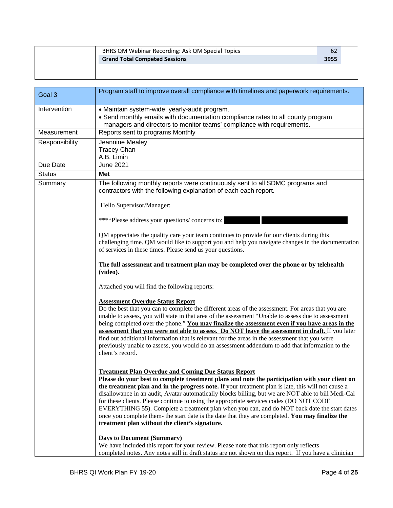| BHRS QM Webinar Recording: Ask QM Special Topics | 62   |  |
|--------------------------------------------------|------|--|
| <b>Grand Total Competed Sessions</b>             | 3955 |  |
|                                                  |      |  |
|                                                  |      |  |

| Goal 3         | Program staff to improve overall compliance with timelines and paperwork requirements.                                                                                                                                                                                                                                                                                                                                                                                                                                                                                                                                                                                                                                     |
|----------------|----------------------------------------------------------------------------------------------------------------------------------------------------------------------------------------------------------------------------------------------------------------------------------------------------------------------------------------------------------------------------------------------------------------------------------------------------------------------------------------------------------------------------------------------------------------------------------------------------------------------------------------------------------------------------------------------------------------------------|
| Intervention   | • Maintain system-wide, yearly-audit program.<br>• Send monthly emails with documentation compliance rates to all county program<br>managers and directors to monitor teams' compliance with requirements.                                                                                                                                                                                                                                                                                                                                                                                                                                                                                                                 |
| Measurement    | Reports sent to programs Monthly                                                                                                                                                                                                                                                                                                                                                                                                                                                                                                                                                                                                                                                                                           |
| Responsibility | Jeannine Mealey<br><b>Tracey Chan</b><br>A.B. Limin                                                                                                                                                                                                                                                                                                                                                                                                                                                                                                                                                                                                                                                                        |
| Due Date       | <b>June 2021</b>                                                                                                                                                                                                                                                                                                                                                                                                                                                                                                                                                                                                                                                                                                           |
| <b>Status</b>  | <b>Met</b>                                                                                                                                                                                                                                                                                                                                                                                                                                                                                                                                                                                                                                                                                                                 |
| Summary        | The following monthly reports were continuously sent to all SDMC programs and<br>contractors with the following explanation of each each report.                                                                                                                                                                                                                                                                                                                                                                                                                                                                                                                                                                           |
|                | Hello Supervisor/Manager:                                                                                                                                                                                                                                                                                                                                                                                                                                                                                                                                                                                                                                                                                                  |
|                | ****Please address your questions/concerns to:                                                                                                                                                                                                                                                                                                                                                                                                                                                                                                                                                                                                                                                                             |
|                | QM appreciates the quality care your team continues to provide for our clients during this<br>challenging time. QM would like to support you and help you navigate changes in the documentation<br>of services in these times. Please send us your questions.                                                                                                                                                                                                                                                                                                                                                                                                                                                              |
|                | The full assessment and treatment plan may be completed over the phone or by telehealth<br>(video).                                                                                                                                                                                                                                                                                                                                                                                                                                                                                                                                                                                                                        |
|                | Attached you will find the following reports:                                                                                                                                                                                                                                                                                                                                                                                                                                                                                                                                                                                                                                                                              |
|                | <b>Assessment Overdue Status Report</b><br>Do the best that you can to complete the different areas of the assessment. For areas that you are<br>unable to assess, you will state in that area of the assessment "Unable to assess due to assessment<br>being completed over the phone." You may finalize the assessment even if you have areas in the<br>assessment that you were not able to assess. Do NOT leave the assessment in draft. If you later<br>find out additional information that is relevant for the areas in the assessment that you were<br>previously unable to assess, you would do an assessment addendum to add that information to the<br>client's record.                                         |
|                | <b>Treatment Plan Overdue and Coming Due Status Report</b><br>Please do your best to complete treatment plans and note the participation with your client on<br>the treatment plan and in the progress note. If your treatment plan is late, this will not cause a<br>disallowance in an audit, Avatar automatically blocks billing, but we are NOT able to bill Medi-Cal<br>for these clients. Please continue to using the appropriate services codes (DO NOT CODE<br>EVERYTHING 55). Complete a treatment plan when you can, and do NOT back date the start dates<br>once you complete them- the start date is the date that they are completed. You may finalize the<br>treatment plan without the client's signature. |
|                | <b>Days to Document (Summary)</b><br>We have included this report for your review. Please note that this report only reflects<br>completed notes. Any notes still in draft status are not shown on this report. If you have a clinician                                                                                                                                                                                                                                                                                                                                                                                                                                                                                    |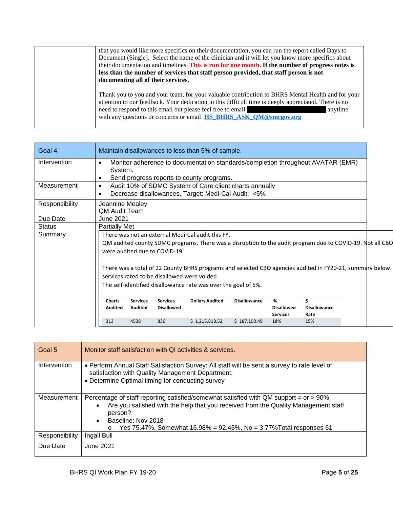| that you would like more specifics on their documentation, you can run the report called Days to<br>Document (Single). Select the name of the clinician and it will let you know more specifics about<br>their documentation and timelines. This is run for one month. If the number of progress notes is<br>less than the number of services that staff person provided, that staff person is not<br>documenting all of their services. |
|------------------------------------------------------------------------------------------------------------------------------------------------------------------------------------------------------------------------------------------------------------------------------------------------------------------------------------------------------------------------------------------------------------------------------------------|
| Thank you to you and your team, for your valuable contribution to BHRS Mental Health and for your<br>attention to our feedback. Your dedication in this difficult time is deeply appreciated. There is no<br>need to respond to this email but please feel free to email<br>anytime<br>with any questions or concerns or email HS_BHRS_ASK_QM@smcgov.org                                                                                 |

| Goal 4         | Maintain disallowances to less than 5% of sample.                                                                              |  |  |  |  |
|----------------|--------------------------------------------------------------------------------------------------------------------------------|--|--|--|--|
| Intervention   | Monitor adherence to documentation standards/completion throughout AVATAR (EMR)<br>$\bullet$<br>System.                        |  |  |  |  |
| Measurement    | Send progress reports to county programs.<br>$\bullet$<br>Audit 10% of SDMC System of Care client charts annually<br>$\bullet$ |  |  |  |  |
|                | Decrease disallowances, Target: Medi-Cal Audit: <5%                                                                            |  |  |  |  |
| Responsibility | Jeannine Mealey<br><b>QM Audit Team</b>                                                                                        |  |  |  |  |
| Due Date       | <b>June 2021</b>                                                                                                               |  |  |  |  |
| <b>Status</b>  | <b>Partially Met</b>                                                                                                           |  |  |  |  |
| Summary        | There was not an external Medi-Cal audit this FY.                                                                              |  |  |  |  |
|                | QM audited county SDMC programs. There was a disruption to the audit program due to COVID-19. Not all CBO                      |  |  |  |  |
|                | were audited due to COVID-19.                                                                                                  |  |  |  |  |
|                |                                                                                                                                |  |  |  |  |
|                | There was a total of 22 County BHRS programs and selected CBO agencies audited in FY20-21, summary below.                      |  |  |  |  |
|                | services rated to be disallowed were voided.                                                                                   |  |  |  |  |
|                | The self-identified disallowance rate was over the goal of 5%.                                                                 |  |  |  |  |
|                |                                                                                                                                |  |  |  |  |
|                | <b>Dollars Audited</b><br><b>Disallowance</b><br>%<br>Ś<br><b>Charts</b><br><b>Services</b><br><b>Services</b>                 |  |  |  |  |
|                | Audited<br><b>Audited</b><br><b>Disallowed</b><br><b>Disallowed</b><br><b>Disallowance</b>                                     |  |  |  |  |
|                | <b>Services</b><br>Rate                                                                                                        |  |  |  |  |
|                | 313<br>4538<br>836<br>\$1,215,818.52<br>\$187,190.49<br>15%<br>18%                                                             |  |  |  |  |

| Goal 5         | Monitor staff satisfaction with QI activities & services.                                                                                                                                                                                                                                         |
|----------------|---------------------------------------------------------------------------------------------------------------------------------------------------------------------------------------------------------------------------------------------------------------------------------------------------|
| Intervention   | . Perform Annual Staff Satisfaction Survey: All staff will be sent a survey to rate level of<br>satisfaction with Quality Management Department.<br>• Determine Optimal timing for conducting survey                                                                                              |
| Measurement    | Percentage of staff reporting satisfied/somewhat satisfied with QM support = or > 90%.<br>Are you satisfied with the help that you received from the Quality Management staff<br>person?<br>Baseline: Nov 2018-<br>Yes 75.47%, Somewhat 16.98% = 92.45%, No = 3.77% Total responses 61<br>$\circ$ |
| Responsibility | Ingall Bull                                                                                                                                                                                                                                                                                       |
| Due Date       | June 2021                                                                                                                                                                                                                                                                                         |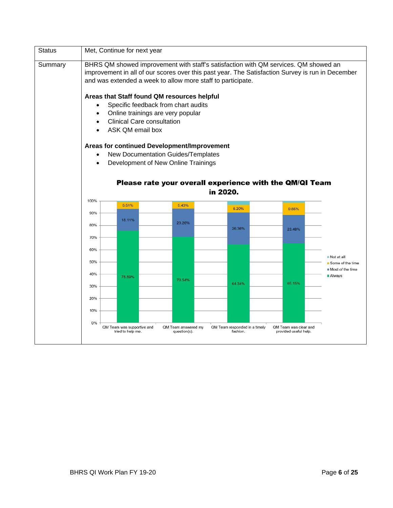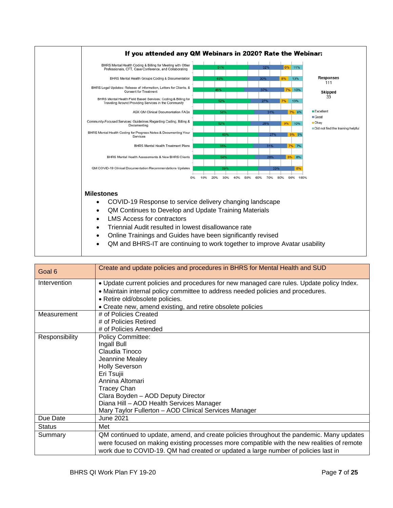

| Goal 6         | Create and update policies and procedures in BHRS for Mental Health and SUD                                                                                                                                                                                                                             |
|----------------|---------------------------------------------------------------------------------------------------------------------------------------------------------------------------------------------------------------------------------------------------------------------------------------------------------|
| Intervention   | . Update current policies and procedures for new managed care rules. Update policy Index.<br>• Maintain internal policy committee to address needed policies and procedures.<br>• Retire old/obsolete policies.<br>• Create new, amend existing, and retire obsolete policies                           |
| Measurement    | # of Policies Created<br># of Policies Retired<br># of Policies Amended                                                                                                                                                                                                                                 |
| Responsibility | <b>Policy Committee:</b><br>Ingall Bull<br>Claudia Tinoco<br>Jeannine Mealey<br><b>Holly Severson</b><br>Eri Tsujii<br>Annina Altomari<br><b>Tracey Chan</b><br>Clara Boyden - AOD Deputy Director<br>Diana Hill - AOD Health Services Manager<br>Mary Taylor Fullerton - AOD Clinical Services Manager |
| Due Date       | June 2021                                                                                                                                                                                                                                                                                               |
| <b>Status</b>  | Met                                                                                                                                                                                                                                                                                                     |
| Summary        | QM continued to update, amend, and create policies throughout the pandemic. Many updates<br>were focused on making existing processes more compatible with the new realities of remote<br>work due to COVID-19. QM had created or updated a large number of policies last in                            |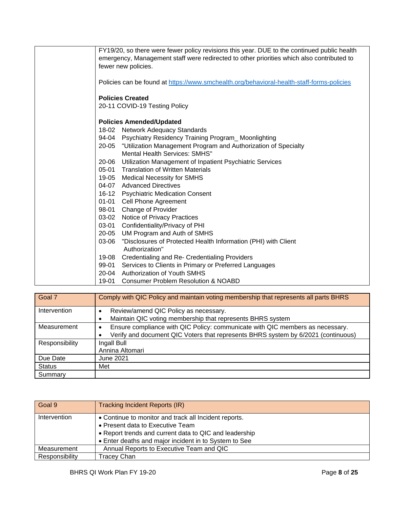| FY19/20, so there were fewer policy revisions this year. DUE to the continued public health<br>emergency, Management staff were redirected to other priorities which also contributed to |
|------------------------------------------------------------------------------------------------------------------------------------------------------------------------------------------|
| fewer new policies.                                                                                                                                                                      |
|                                                                                                                                                                                          |
| Policies can be found at https://www.smchealth.org/behavioral-health-staff-forms-policies                                                                                                |
| <b>Policies Created</b>                                                                                                                                                                  |
| 20-11 COVID-19 Testing Policy                                                                                                                                                            |
| <b>Policies Amended/Updated</b>                                                                                                                                                          |
| 18-02 Network Adequacy Standards                                                                                                                                                         |
| 94-04 Psychiatry Residency Training Program_Moonlighting                                                                                                                                 |
| "Utilization Management Program and Authorization of Specialty<br>20-05                                                                                                                  |
| <b>Mental Health Services: SMHS"</b>                                                                                                                                                     |
| 20-06<br>Utilization Management of Inpatient Psychiatric Services                                                                                                                        |
| 05-01 Translation of Written Materials                                                                                                                                                   |
| 19-05 Medical Necessity for SMHS                                                                                                                                                         |
| 04-07 Advanced Directives                                                                                                                                                                |
| 16-12 Psychiatric Medication Consent                                                                                                                                                     |
| 01-01 Cell Phone Agreement                                                                                                                                                               |
| 98-01 Change of Provider                                                                                                                                                                 |
| 03-02 Notice of Privacy Practices                                                                                                                                                        |
| 03-01<br>Confidentiality/Privacy of PHI                                                                                                                                                  |
| $20 - 05$<br>UM Program and Auth of SMHS                                                                                                                                                 |
| "Disclosures of Protected Health Information (PHI) with Client<br>03-06                                                                                                                  |
| Authorization"                                                                                                                                                                           |
| Credentialing and Re- Credentialing Providers<br>19-08                                                                                                                                   |
| Services to Clients in Primary or Preferred Languages<br>99-01                                                                                                                           |
| Authorization of Youth SMHS<br>20-04                                                                                                                                                     |
| 19-01<br><b>Consumer Problem Resolution &amp; NOABD</b>                                                                                                                                  |
|                                                                                                                                                                                          |

| Goal 7         | Comply with QIC Policy and maintain voting membership that represents all parts BHRS |
|----------------|--------------------------------------------------------------------------------------|
| Intervention   | Review/amend QIC Policy as necessary.                                                |
|                | Maintain QIC voting membership that represents BHRS system                           |
| Measurement    | Ensure compliance with QIC Policy: communicate with QIC members as necessary.<br>٠   |
|                | Verify and document QIC Voters that represents BHRS system by 6/2021 (continuous)    |
| Responsibility | Ingall Bull                                                                          |
|                | Annina Altomari                                                                      |
| Due Date       | June 2021                                                                            |
| <b>Status</b>  | Met                                                                                  |
| Summary        |                                                                                      |

| Goal 9         | Tracking Incident Reports (IR)                         |
|----------------|--------------------------------------------------------|
| Intervention   | • Continue to monitor and track all Incident reports.  |
|                | • Present data to Executive Team                       |
|                | • Report trends and current data to QIC and leadership |
|                | • Enter deaths and major incident in to System to See  |
| Measurement    | Annual Reports to Executive Team and QIC               |
| Responsibility | <b>Tracey Chan</b>                                     |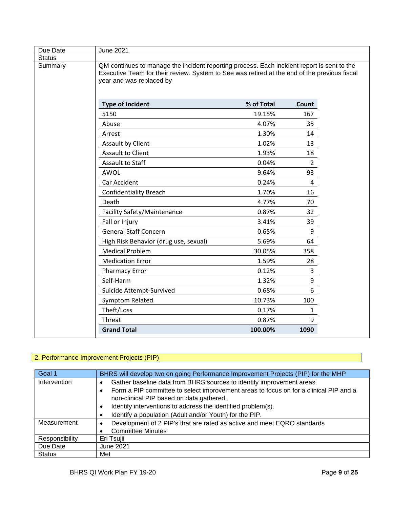| Due Date<br><b>June 2021</b>                                                                                                                                                                                                      |            |                  |  |
|-----------------------------------------------------------------------------------------------------------------------------------------------------------------------------------------------------------------------------------|------------|------------------|--|
| <b>Status</b>                                                                                                                                                                                                                     |            |                  |  |
| Summary<br>QM continues to manage the incident reporting process. Each incident report is sent to the<br>Executive Team for their review. System to See was retired at the end of the previous fiscal<br>year and was replaced by |            |                  |  |
| <b>Type of Incident</b>                                                                                                                                                                                                           | % of Total | Count            |  |
| 5150                                                                                                                                                                                                                              | 19.15%     | 167              |  |
| Abuse                                                                                                                                                                                                                             | 4.07%      | 35               |  |
| Arrest                                                                                                                                                                                                                            | 1.30%      | 14               |  |
| <b>Assault by Client</b>                                                                                                                                                                                                          | 1.02%      | 13               |  |
| <b>Assault to Client</b>                                                                                                                                                                                                          | 1.93%      | 18               |  |
| Assault to Staff                                                                                                                                                                                                                  | 0.04%      | $\overline{2}$   |  |
| AWOL                                                                                                                                                                                                                              | 9.64%      | 93               |  |
| Car Accident                                                                                                                                                                                                                      | 0.24%      | 4                |  |
| <b>Confidentiality Breach</b>                                                                                                                                                                                                     | 1.70%      | 16               |  |
| Death                                                                                                                                                                                                                             | 4.77%      | 70               |  |
| Facility Safety/Maintenance                                                                                                                                                                                                       | 0.87%      | 32               |  |
| Fall or Injury                                                                                                                                                                                                                    | 3.41%      | 39               |  |
| <b>General Staff Concern</b>                                                                                                                                                                                                      | 0.65%      | $\boldsymbol{9}$ |  |
| High Risk Behavior (drug use, sexual)                                                                                                                                                                                             | 5.69%      | 64               |  |
| <b>Medical Problem</b>                                                                                                                                                                                                            | 30.05%     | 358              |  |
| <b>Medication Error</b>                                                                                                                                                                                                           | 1.59%      | 28               |  |
| <b>Pharmacy Error</b>                                                                                                                                                                                                             | 0.12%      | 3                |  |
| Self-Harm                                                                                                                                                                                                                         | 1.32%      | 9                |  |
| Suicide Attempt-Survived                                                                                                                                                                                                          | 0.68%      | 6                |  |
| Symptom Related                                                                                                                                                                                                                   | 10.73%     | 100              |  |
| Theft/Loss                                                                                                                                                                                                                        | 0.17%      | 1                |  |
| Threat                                                                                                                                                                                                                            | 0.87%      | 9                |  |
| <b>Grand Total</b>                                                                                                                                                                                                                | 100.00%    | 1090             |  |

### 2. Performance Improvement Projects (PIP)

| Goal 1         | BHRS will develop two on going Performance Improvement Projects (PIP) for the MHP     |
|----------------|---------------------------------------------------------------------------------------|
| Intervention   | Gather baseline data from BHRS sources to identify improvement areas.                 |
|                | Form a PIP committee to select improvement areas to focus on for a clinical PIP and a |
|                | non-clinical PIP based on data gathered.                                              |
|                | Identify interventions to address the identified problem(s).                          |
|                | Identify a population (Adult and/or Youth) for the PIP.                               |
| Measurement    | Development of 2 PIP's that are rated as active and meet EQRO standards               |
|                | <b>Committee Minutes</b>                                                              |
| Responsibility | Eri Tsujii                                                                            |
| Due Date       | June 2021                                                                             |
| <b>Status</b>  | Met                                                                                   |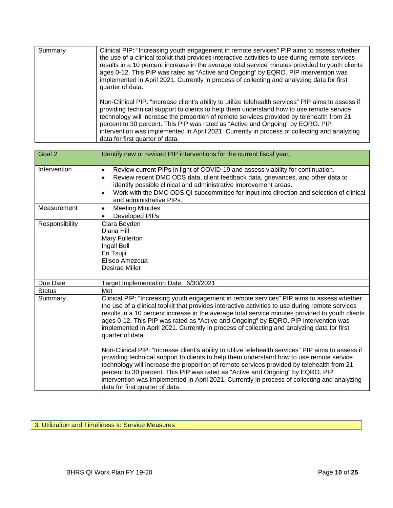| Summary | Clinical PIP: "Increasing youth engagement in remote services" PIP aims to assess whether<br>the use of a clinical toolkit that provides interactive activities to use during remote services<br>results in a 10 percent increase in the average total service minutes provided to youth clients<br>ages 0-12. This PIP was rated as "Active and Ongoing" by EQRO. PIP intervention was<br>implemented in April 2021. Currently in process of collecting and analyzing data for first<br>quarter of data.        |
|---------|------------------------------------------------------------------------------------------------------------------------------------------------------------------------------------------------------------------------------------------------------------------------------------------------------------------------------------------------------------------------------------------------------------------------------------------------------------------------------------------------------------------|
|         | Non-Clinical PIP: "Increase client's ability to utilize telehealth services" PIP aims to assess if<br>providing technical support to clients to help them understand how to use remote service<br>technology will increase the proportion of remote services provided by telehealth from 21<br>percent to 30 percent. This PIP was rated as "Active and Ongoing" by EQRO. PIP<br>intervention was implemented in April 2021. Currently in process of collecting and analyzing<br>data for first quarter of data. |

| Goal 2         | Identify new or revised PIP interventions for the current fiscal year.                                                                                                                                                                                                                                                                                                                                                                                                                                           |
|----------------|------------------------------------------------------------------------------------------------------------------------------------------------------------------------------------------------------------------------------------------------------------------------------------------------------------------------------------------------------------------------------------------------------------------------------------------------------------------------------------------------------------------|
| Intervention   | Review current PIPs in light of COVID-19 and assess viability for continuation.<br>$\bullet$<br>Review recent DMC ODS data, client feedback data, grievances, and other data to<br>$\bullet$<br>identify possible clinical and administrative improvement areas.<br>Work with the DMC ODS QI subcommittee for input into direction and selection of clinical<br>$\bullet$<br>and administrative PIPs.                                                                                                            |
| Measurement    | <b>Meeting Minutes</b><br>$\bullet$<br>Developed PIPs<br>$\bullet$                                                                                                                                                                                                                                                                                                                                                                                                                                               |
| Responsibility | Clara Boyden<br>Diana Hill<br>Mary Fullerton<br>Ingall Bull<br>Eri Tsujii<br>Eliseo Amezcua<br>Desirae Miller                                                                                                                                                                                                                                                                                                                                                                                                    |
| Due Date       | Target Implementation Date: 6/30/2021                                                                                                                                                                                                                                                                                                                                                                                                                                                                            |
| <b>Status</b>  | Met                                                                                                                                                                                                                                                                                                                                                                                                                                                                                                              |
| Summary        | Clinical PIP: "Increasing youth engagement in remote services" PIP aims to assess whether<br>the use of a clinical toolkit that provides interactive activities to use during remote services<br>results in a 10 percent increase in the average total service minutes provided to youth clients<br>ages 0-12. This PIP was rated as "Active and Ongoing" by EQRO. PIP intervention was<br>implemented in April 2021. Currently in process of collecting and analyzing data for first<br>quarter of data.        |
|                | Non-Clinical PIP: "Increase client's ability to utilize telehealth services" PIP aims to assess if<br>providing technical support to clients to help them understand how to use remote service<br>technology will increase the proportion of remote services provided by telehealth from 21<br>percent to 30 percent. This PIP was rated as "Active and Ongoing" by EQRO. PIP<br>intervention was implemented in April 2021. Currently in process of collecting and analyzing<br>data for first quarter of data. |

### 3. Utilization and Timeliness to Service Measures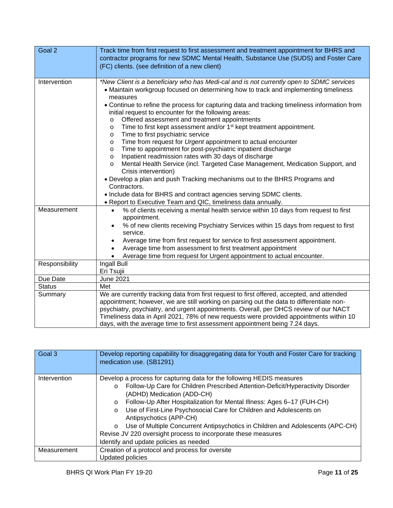| Goal 2         | Track time from first request to first assessment and treatment appointment for BHRS and<br>contractor programs for new SDMC Mental Health, Substance Use (SUDS) and Foster Care<br>(FC) clients. (see definition of a new client)                                                                                                                                                                                                                                                                                                                                                                                                                                                                                                                                                                                                                                                                                                                                                                                                                                                                                            |
|----------------|-------------------------------------------------------------------------------------------------------------------------------------------------------------------------------------------------------------------------------------------------------------------------------------------------------------------------------------------------------------------------------------------------------------------------------------------------------------------------------------------------------------------------------------------------------------------------------------------------------------------------------------------------------------------------------------------------------------------------------------------------------------------------------------------------------------------------------------------------------------------------------------------------------------------------------------------------------------------------------------------------------------------------------------------------------------------------------------------------------------------------------|
| Intervention   | *New Client is a beneficiary who has Medi-cal and is not currently open to SDMC services<br>• Maintain workgroup focused on determining how to track and implementing timeliness<br>measures<br>• Continue to refine the process for capturing data and tracking timeliness information from<br>initial request to encounter for the following areas:<br>Offered assessment and treatment appointments<br>$\circ$<br>Time to first kept assessment and/or 1 <sup>st</sup> kept treatment appointment.<br>O<br>Time to first psychiatric service<br>O<br>Time from request for Urgent appointment to actual encounter<br>O<br>Time to appointment for post-psychiatric inpatient discharge<br>O<br>Inpatient readmission rates with 30 days of discharge<br>$\circ$<br>Mental Health Service (incl. Targeted Case Management, Medication Support, and<br>$\circ$<br>Crisis intervention)<br>• Develop a plan and push Tracking mechanisms out to the BHRS Programs and<br>Contractors.<br>• Include data for BHRS and contract agencies serving SDMC clients.<br>• Report to Executive Team and QIC, timeliness data annually. |
| Measurement    | % of clients receiving a mental health service within 10 days from request to first<br>$\bullet$<br>appointment.<br>% of new clients receiving Psychiatry Services within 15 days from request to first<br>service.<br>Average time from first request for service to first assessment appointment.<br>$\bullet$<br>Average time from assessment to first treatment appointment<br>$\bullet$<br>Average time from request for Urgent appointment to actual encounter.                                                                                                                                                                                                                                                                                                                                                                                                                                                                                                                                                                                                                                                         |
| Responsibility | Ingall Bull<br>Eri Tsujii                                                                                                                                                                                                                                                                                                                                                                                                                                                                                                                                                                                                                                                                                                                                                                                                                                                                                                                                                                                                                                                                                                     |
| Due Date       | <b>June 2021</b>                                                                                                                                                                                                                                                                                                                                                                                                                                                                                                                                                                                                                                                                                                                                                                                                                                                                                                                                                                                                                                                                                                              |
| <b>Status</b>  | Met                                                                                                                                                                                                                                                                                                                                                                                                                                                                                                                                                                                                                                                                                                                                                                                                                                                                                                                                                                                                                                                                                                                           |
| Summary        | We are currently tracking data from first request to first offered, accepted, and attended<br>appointment; however, we are still working on parsing out the data to differentiate non-<br>psychiatry, psychiatry, and urgent appointments. Overall, per DHCS review of our NACT<br>Timeliness data in April 2021, 78% of new requests were provided appointments within 10<br>days, with the average time to first assessment appointment being 7.24 days.                                                                                                                                                                                                                                                                                                                                                                                                                                                                                                                                                                                                                                                                    |

| Goal 3       | Develop reporting capability for disaggregating data for Youth and Foster Care for tracking<br>medication use. (SB1291)                                                                                                                                                                                                                                                                                                                                                                                                                                                                                     |
|--------------|-------------------------------------------------------------------------------------------------------------------------------------------------------------------------------------------------------------------------------------------------------------------------------------------------------------------------------------------------------------------------------------------------------------------------------------------------------------------------------------------------------------------------------------------------------------------------------------------------------------|
| Intervention | Develop a process for capturing data for the following HEDIS measures<br>Follow-Up Care for Children Prescribed Attention-Deficit/Hyperactivity Disorder<br>$\circ$<br>(ADHD) Medication (ADD-CH)<br>Follow-Up After Hospitalization for Mental Illness: Ages 6-17 (FUH-CH)<br>$\circ$<br>Use of First-Line Psychosocial Care for Children and Adolescents on<br>$\circ$<br>Antipsychotics (APP-CH)<br>Use of Multiple Concurrent Antipsychotics in Children and Adolescents (APC-CH)<br>$\circ$<br>Revise JV 220 oversight process to incorporate these measures<br>Identify and update policies as needed |
| Measurement  | Creation of a protocol and process for oversite<br><b>Updated policies</b>                                                                                                                                                                                                                                                                                                                                                                                                                                                                                                                                  |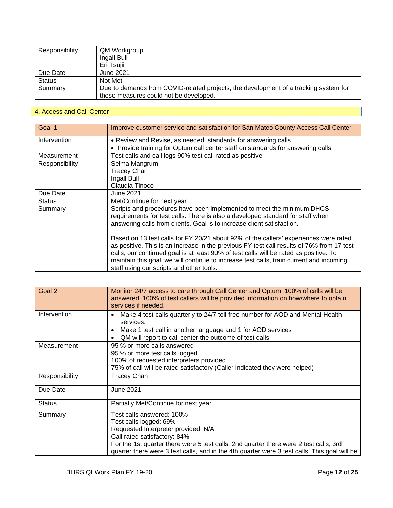| Responsibility | QM Workgroup                                                                                                                   |
|----------------|--------------------------------------------------------------------------------------------------------------------------------|
|                | Ingall Bull                                                                                                                    |
|                | Eri Tsujii                                                                                                                     |
| Due Date       | June 2021                                                                                                                      |
| <b>Status</b>  | Not Met                                                                                                                        |
| Summary        | Due to demands from COVID-related projects, the development of a tracking system for<br>these measures could not be developed. |

### 4. Access and Call Center

| Goal 1         | Improve customer service and satisfaction for San Mateo County Access Call Center                                                                                                                                                                                                                                                                                                                                 |  |
|----------------|-------------------------------------------------------------------------------------------------------------------------------------------------------------------------------------------------------------------------------------------------------------------------------------------------------------------------------------------------------------------------------------------------------------------|--|
| Intervention   | • Review and Revise, as needed, standards for answering calls                                                                                                                                                                                                                                                                                                                                                     |  |
|                | • Provide training for Optum call center staff on standards for answering calls.                                                                                                                                                                                                                                                                                                                                  |  |
| Measurement    | Test calls and call logs 90% test call rated as positive                                                                                                                                                                                                                                                                                                                                                          |  |
| Responsibility | Selma Mangrum                                                                                                                                                                                                                                                                                                                                                                                                     |  |
|                | <b>Tracey Chan</b>                                                                                                                                                                                                                                                                                                                                                                                                |  |
|                | Ingall Bull                                                                                                                                                                                                                                                                                                                                                                                                       |  |
|                | Claudia Tinoco                                                                                                                                                                                                                                                                                                                                                                                                    |  |
| Due Date       | <b>June 2021</b>                                                                                                                                                                                                                                                                                                                                                                                                  |  |
| <b>Status</b>  | Met/Continue for next year                                                                                                                                                                                                                                                                                                                                                                                        |  |
| Summary        | Scripts and procedures have been implemented to meet the minimum DHCS<br>requirements for test calls. There is also a developed standard for staff when<br>answering calls from clients. Goal is to increase client satisfaction.                                                                                                                                                                                 |  |
|                | Based on 13 test calls for FY 20/21 about 92% of the callers' experiences were rated<br>as positive. This is an increase in the previous FY test call results of 76% from 17 test<br>calls, our continued goal is at least 90% of test calls will be rated as positive. To<br>maintain this goal, we will continue to increase test calls, train current and incoming<br>staff using our scripts and other tools. |  |

| Goal 2         | Monitor 24/7 access to care through Call Center and Optum. 100% of calls will be<br>answered. 100% of test callers will be provided information on how/where to obtain<br>services if needed.                                                                                                                       |
|----------------|---------------------------------------------------------------------------------------------------------------------------------------------------------------------------------------------------------------------------------------------------------------------------------------------------------------------|
| Intervention   | Make 4 test calls quarterly to 24/7 toll-free number for AOD and Mental Health<br>services.<br>Make 1 test call in another language and 1 for AOD services<br>QM will report to call center the outcome of test calls                                                                                               |
| Measurement    | 95 % or more calls answered<br>95 % or more test calls logged.<br>100% of requested interpreters provided<br>75% of call will be rated satisfactory (Caller indicated they were helped)                                                                                                                             |
| Responsibility | <b>Tracey Chan</b>                                                                                                                                                                                                                                                                                                  |
| Due Date       | <b>June 2021</b>                                                                                                                                                                                                                                                                                                    |
| <b>Status</b>  | Partially Met/Continue for next year                                                                                                                                                                                                                                                                                |
| Summary        | Test calls answered: 100%<br>Test calls logged: 69%<br>Requested Interpreter provided: N/A<br>Call rated satisfactory: 84%<br>For the 1st quarter there were 5 test calls, 2nd quarter there were 2 test calls, 3rd<br>quarter there were 3 test calls, and in the 4th quarter were 3 test calls. This goal will be |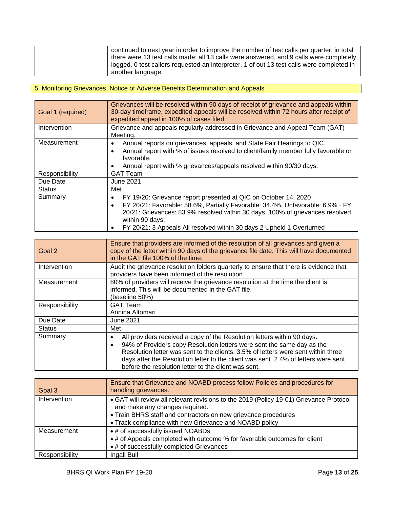| continued to next year in order to improve the number of test calls per quarter, in total |
|-------------------------------------------------------------------------------------------|
| there were 13 test calls made: all 13 calls were answered, and 9 calls were completely    |
| logged. 0 test callers requested an interpreter. 1 of out 13 test calls were completed in |
| another language.                                                                         |

## 5. Monitoring Grievances, Notice of Adverse Benefits Determination and Appeals

| Goal 1 (required) | Grievances will be resolved within 90 days of receipt of grievance and appeals within<br>30-day timeframe, expedited appeals will be resolved within 72 hours after receipt of<br>expedited appeal in 100% of cases filed.                                                                                                                               |  |  |  |  |  |
|-------------------|----------------------------------------------------------------------------------------------------------------------------------------------------------------------------------------------------------------------------------------------------------------------------------------------------------------------------------------------------------|--|--|--|--|--|
| Intervention      | Grievance and appeals regularly addressed in Grievance and Appeal Team (GAT)<br>Meeting.                                                                                                                                                                                                                                                                 |  |  |  |  |  |
| Measurement       | Annual reports on grievances, appeals, and State Fair Hearings to QIC.<br>٠<br>Annual report with % of issues resolved to client/family member fully favorable or<br>favorable.<br>Annual report with % grievances/appeals resolved within 90/30 days.                                                                                                   |  |  |  |  |  |
| Responsibility    | <b>GAT Team</b>                                                                                                                                                                                                                                                                                                                                          |  |  |  |  |  |
| Due Date          | <b>June 2021</b>                                                                                                                                                                                                                                                                                                                                         |  |  |  |  |  |
| <b>Status</b>     | Met                                                                                                                                                                                                                                                                                                                                                      |  |  |  |  |  |
| Summary           | FY 19/20: Grievance report presented at QIC on October 14, 2020<br>$\bullet$<br>FY 20/21: Favorable: 58.6%, Partially Favorable: 34.4%, Unfavorable: 6.9% · FY<br>$\bullet$<br>20/21: Grievances: 83.9% resolved within 30 days. 100% of grievances resolved<br>within 90 days.<br>FY 20/21: 3 Appeals All resolved within 30 days 2 Upheld 1 Overturned |  |  |  |  |  |

| Goal 2         | Ensure that providers are informed of the resolution of all grievances and given a<br>copy of the letter within 90 days of the grievance file date. This will have documented<br>in the GAT file 100% of the time.                                                                                                                                                                                |  |  |  |  |  |
|----------------|---------------------------------------------------------------------------------------------------------------------------------------------------------------------------------------------------------------------------------------------------------------------------------------------------------------------------------------------------------------------------------------------------|--|--|--|--|--|
| Intervention   | Audit the grievance resolution folders quarterly to ensure that there is evidence that<br>providers have been informed of the resolution.                                                                                                                                                                                                                                                         |  |  |  |  |  |
| Measurement    | 80% of providers will receive the grievance resolution at the time the client is<br>informed. This will be documented in the GAT file.<br>(baseline 50%)                                                                                                                                                                                                                                          |  |  |  |  |  |
| Responsibility | <b>GAT Team</b><br>Annina Altomari                                                                                                                                                                                                                                                                                                                                                                |  |  |  |  |  |
| Due Date       | <b>June 2021</b>                                                                                                                                                                                                                                                                                                                                                                                  |  |  |  |  |  |
| <b>Status</b>  | Met                                                                                                                                                                                                                                                                                                                                                                                               |  |  |  |  |  |
| Summary        | All providers received a copy of the Resolution letters within 90 days.<br>94% of Providers copy Resolution letters were sent the same day as the<br>$\bullet$<br>Resolution letter was sent to the clients. 3.5% of letters were sent within three<br>days after the Resolution letter to the client was sent. 2.4% of letters were sent<br>before the resolution letter to the client was sent. |  |  |  |  |  |

| Goal 3         | Ensure that Grievance and NOABD process follow Policies and procedures for<br>handling grievances.                                                                                                                                                   |
|----------------|------------------------------------------------------------------------------------------------------------------------------------------------------------------------------------------------------------------------------------------------------|
| Intervention   | • GAT will review all relevant revisions to the 2019 (Policy 19-01) Grievance Protocol<br>and make any changes required.<br>• Train BHRS staff and contractors on new grievance procedures<br>• Track compliance with new Grievance and NOABD policy |
| Measurement    | • # of successfully issued NOABDs<br>• # of Appeals completed with outcome % for favorable outcomes for client<br>• # of successfully completed Grievances                                                                                           |
| Responsibility | Ingall Bull                                                                                                                                                                                                                                          |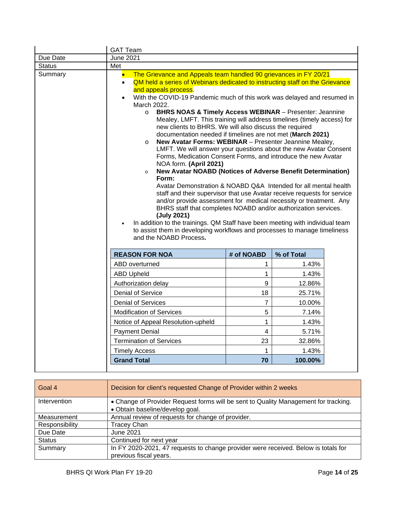|               | <b>GAT Team</b>                                                                                                                                                                                                                                                                                                                                                                                                                                                                                                                                                                                                                                                                                                                                                                                                                                                                                                                                                                                                                                                                                                                                                                                                                                                                                                                                                                                                        |              |        |  |  |  |  |  |
|---------------|------------------------------------------------------------------------------------------------------------------------------------------------------------------------------------------------------------------------------------------------------------------------------------------------------------------------------------------------------------------------------------------------------------------------------------------------------------------------------------------------------------------------------------------------------------------------------------------------------------------------------------------------------------------------------------------------------------------------------------------------------------------------------------------------------------------------------------------------------------------------------------------------------------------------------------------------------------------------------------------------------------------------------------------------------------------------------------------------------------------------------------------------------------------------------------------------------------------------------------------------------------------------------------------------------------------------------------------------------------------------------------------------------------------------|--------------|--------|--|--|--|--|--|
| Due Date      | <b>June 2021</b>                                                                                                                                                                                                                                                                                                                                                                                                                                                                                                                                                                                                                                                                                                                                                                                                                                                                                                                                                                                                                                                                                                                                                                                                                                                                                                                                                                                                       |              |        |  |  |  |  |  |
| <b>Status</b> | Met                                                                                                                                                                                                                                                                                                                                                                                                                                                                                                                                                                                                                                                                                                                                                                                                                                                                                                                                                                                                                                                                                                                                                                                                                                                                                                                                                                                                                    |              |        |  |  |  |  |  |
| Summary       | The Grievance and Appeals team handled 90 grievances in FY 20/21<br>$\bullet$<br>QM held a series of Webinars dedicated to instructing staff on the Grievance<br>$\bullet$<br>and appeals process.<br>With the COVID-19 Pandemic much of this work was delayed and resumed in<br>$\bullet$<br>March 2022.<br><b>BHRS NOAS &amp; Timely Access WEBINAR - Presenter: Jeannine</b><br>$\circ$<br>Mealey, LMFT. This training will address timelines (timely access) for<br>new clients to BHRS. We will also discuss the required<br>documentation needed if timelines are not met (March 2021)<br>New Avatar Forms: WEBINAR - Presenter Jeannine Mealey,<br>$\circ$<br>LMFT. We will answer your questions about the new Avatar Consent<br>Forms, Medication Consent Forms, and introduce the new Avatar<br>NOA form. (April 2021)<br><b>New Avatar NOABD (Notices of Adverse Benefit Determination)</b><br>$\circ$<br>Form:<br>Avatar Demonstration & NOABD Q&A Intended for all mental health<br>staff and their supervisor that use Avatar receive requests for service<br>and/or provide assessment for medical necessity or treatment. Any<br>BHRS staff that completes NOABD and/or authorization services.<br>(July 2021)<br>In addition to the trainings. QM Staff have been meeting with individual team<br>to assist them in developing workflows and processes to manage timeliness<br>and the NOABD Process. |              |        |  |  |  |  |  |
|               | # of NOABD<br>% of Total<br><b>REASON FOR NOA</b>                                                                                                                                                                                                                                                                                                                                                                                                                                                                                                                                                                                                                                                                                                                                                                                                                                                                                                                                                                                                                                                                                                                                                                                                                                                                                                                                                                      |              |        |  |  |  |  |  |
|               | ABD overturned                                                                                                                                                                                                                                                                                                                                                                                                                                                                                                                                                                                                                                                                                                                                                                                                                                                                                                                                                                                                                                                                                                                                                                                                                                                                                                                                                                                                         | 1            | 1.43%  |  |  |  |  |  |
|               | <b>ABD Upheld</b>                                                                                                                                                                                                                                                                                                                                                                                                                                                                                                                                                                                                                                                                                                                                                                                                                                                                                                                                                                                                                                                                                                                                                                                                                                                                                                                                                                                                      | $\mathbf{1}$ | 1.43%  |  |  |  |  |  |
|               | Authorization delay                                                                                                                                                                                                                                                                                                                                                                                                                                                                                                                                                                                                                                                                                                                                                                                                                                                                                                                                                                                                                                                                                                                                                                                                                                                                                                                                                                                                    | 9            | 12.86% |  |  |  |  |  |
|               | 18<br><b>Denial of Service</b><br>25.71%                                                                                                                                                                                                                                                                                                                                                                                                                                                                                                                                                                                                                                                                                                                                                                                                                                                                                                                                                                                                                                                                                                                                                                                                                                                                                                                                                                               |              |        |  |  |  |  |  |
|               | <b>Denial of Services</b>                                                                                                                                                                                                                                                                                                                                                                                                                                                                                                                                                                                                                                                                                                                                                                                                                                                                                                                                                                                                                                                                                                                                                                                                                                                                                                                                                                                              | 7            | 10.00% |  |  |  |  |  |
|               | 5<br><b>Modification of Services</b><br>7.14%                                                                                                                                                                                                                                                                                                                                                                                                                                                                                                                                                                                                                                                                                                                                                                                                                                                                                                                                                                                                                                                                                                                                                                                                                                                                                                                                                                          |              |        |  |  |  |  |  |
|               | Notice of Appeal Resolution-upheld                                                                                                                                                                                                                                                                                                                                                                                                                                                                                                                                                                                                                                                                                                                                                                                                                                                                                                                                                                                                                                                                                                                                                                                                                                                                                                                                                                                     | $\mathbf 1$  | 1.43%  |  |  |  |  |  |
|               | 4<br>5.71%<br><b>Payment Denial</b>                                                                                                                                                                                                                                                                                                                                                                                                                                                                                                                                                                                                                                                                                                                                                                                                                                                                                                                                                                                                                                                                                                                                                                                                                                                                                                                                                                                    |              |        |  |  |  |  |  |
|               | 23<br><b>Termination of Services</b><br>32.86%                                                                                                                                                                                                                                                                                                                                                                                                                                                                                                                                                                                                                                                                                                                                                                                                                                                                                                                                                                                                                                                                                                                                                                                                                                                                                                                                                                         |              |        |  |  |  |  |  |
|               | $\mathbf{1}$<br>1.43%<br><b>Timely Access</b>                                                                                                                                                                                                                                                                                                                                                                                                                                                                                                                                                                                                                                                                                                                                                                                                                                                                                                                                                                                                                                                                                                                                                                                                                                                                                                                                                                          |              |        |  |  |  |  |  |
|               | <b>Grand Total</b><br>70<br>100.00%                                                                                                                                                                                                                                                                                                                                                                                                                                                                                                                                                                                                                                                                                                                                                                                                                                                                                                                                                                                                                                                                                                                                                                                                                                                                                                                                                                                    |              |        |  |  |  |  |  |
|               |                                                                                                                                                                                                                                                                                                                                                                                                                                                                                                                                                                                                                                                                                                                                                                                                                                                                                                                                                                                                                                                                                                                                                                                                                                                                                                                                                                                                                        |              |        |  |  |  |  |  |

| Goal 4         | Decision for client's requested Change of Provider within 2 weeks                                                      |
|----------------|------------------------------------------------------------------------------------------------------------------------|
| Intervention   | • Change of Provider Request forms will be sent to Quality Management for tracking.<br>· Obtain baseline/develop goal. |
| Measurement    | Annual review of requests for change of provider.                                                                      |
| Responsibility | <b>Tracey Chan</b>                                                                                                     |
| Due Date       | June 2021                                                                                                              |
| <b>Status</b>  | Continued for next year                                                                                                |
| Summary        | In FY 2020-2021, 47 requests to change provider were received. Below is totals for<br>previous fiscal years.           |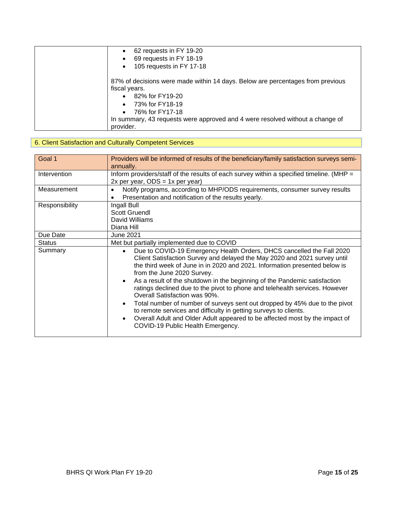| 62 requests in FY 19-20<br>$\bullet$                                                                                                                                                                                                                                             |
|----------------------------------------------------------------------------------------------------------------------------------------------------------------------------------------------------------------------------------------------------------------------------------|
| 69 requests in FY 18-19<br>$\bullet$                                                                                                                                                                                                                                             |
| 105 requests in FY 17-18<br>$\bullet$                                                                                                                                                                                                                                            |
| 87% of decisions were made within 14 days. Below are percentages from previous<br>fiscal years.<br>82% for FY19-20<br>$\bullet$<br>73% for FY18-19<br>$\bullet$<br>76% for FY17-18<br>$\bullet$<br>In summary, 43 requests were approved and 4 were resolved without a change of |
| provider.                                                                                                                                                                                                                                                                        |

## 6. Client Satisfaction and Culturally Competent Services

| Goal 1         | Providers will be informed of results of the beneficiary/family satisfaction surveys semi-<br>annually.                                                                                                                                                                                                                                                                                                                                                                                                                                                                                                                                                                                                                                                                               |  |  |  |  |  |
|----------------|---------------------------------------------------------------------------------------------------------------------------------------------------------------------------------------------------------------------------------------------------------------------------------------------------------------------------------------------------------------------------------------------------------------------------------------------------------------------------------------------------------------------------------------------------------------------------------------------------------------------------------------------------------------------------------------------------------------------------------------------------------------------------------------|--|--|--|--|--|
| Intervention   | Inform providers/staff of the results of each survey within a specified timeline. (MHP =<br>$2x$ per year, ODS = 1x per year)                                                                                                                                                                                                                                                                                                                                                                                                                                                                                                                                                                                                                                                         |  |  |  |  |  |
| Measurement    | Notify programs, according to MHP/ODS requirements, consumer survey results<br>$\bullet$<br>Presentation and notification of the results yearly.                                                                                                                                                                                                                                                                                                                                                                                                                                                                                                                                                                                                                                      |  |  |  |  |  |
| Responsibility | Ingall Bull<br><b>Scott Gruendl</b><br>David Williams<br>Diana Hill                                                                                                                                                                                                                                                                                                                                                                                                                                                                                                                                                                                                                                                                                                                   |  |  |  |  |  |
| Due Date       | <b>June 2021</b>                                                                                                                                                                                                                                                                                                                                                                                                                                                                                                                                                                                                                                                                                                                                                                      |  |  |  |  |  |
| <b>Status</b>  | Met but partially implemented due to COVID                                                                                                                                                                                                                                                                                                                                                                                                                                                                                                                                                                                                                                                                                                                                            |  |  |  |  |  |
| Summary        | Due to COVID-19 Emergency Health Orders, DHCS cancelled the Fall 2020<br>$\bullet$<br>Client Satisfaction Survey and delayed the May 2020 and 2021 survey until<br>the third week of June in in 2020 and 2021. Information presented below is<br>from the June 2020 Survey.<br>As a result of the shutdown in the beginning of the Pandemic satisfaction<br>$\bullet$<br>ratings declined due to the pivot to phone and telehealth services. However<br>Overall Satisfaction was 90%.<br>Total number of number of surveys sent out dropped by 45% due to the pivot<br>$\bullet$<br>to remote services and difficulty in getting surveys to clients.<br>Overall Adult and Older Adult appeared to be affected most by the impact of<br>$\bullet$<br>COVID-19 Public Health Emergency. |  |  |  |  |  |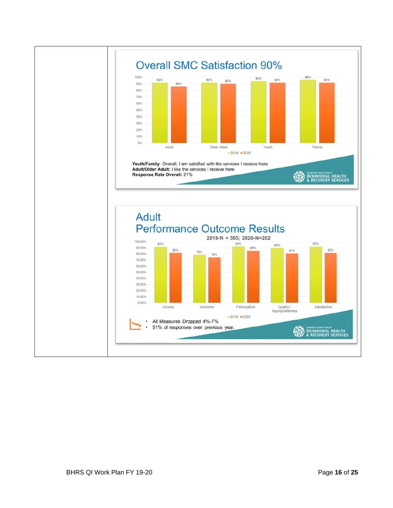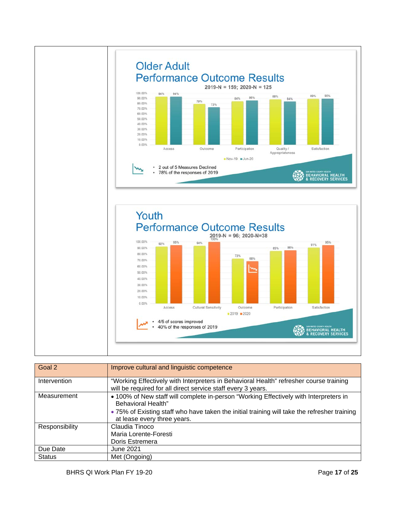

| Goal 2         | Improve cultural and linguistic competence                                                                                                                                                                                                        |
|----------------|---------------------------------------------------------------------------------------------------------------------------------------------------------------------------------------------------------------------------------------------------|
| Intervention   | "Working Effectively with Interpreters in Behavioral Health" refresher course training<br>will be required for all direct service staff every 3 years.                                                                                            |
| Measurement    | • 100% of New staff will complete in-person "Working Effectively with Interpreters in<br><b>Behavioral Health"</b><br>. 75% of Existing staff who have taken the initial training will take the refresher training<br>at lease every three years. |
| Responsibility | Claudia Tinoco<br>Maria Lorente-Foresti<br>Doris Estremera                                                                                                                                                                                        |
| Due Date       | <b>June 2021</b>                                                                                                                                                                                                                                  |
| <b>Status</b>  | Met (Ongoing)                                                                                                                                                                                                                                     |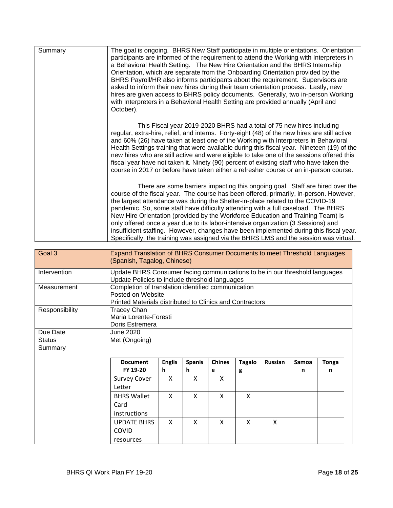| Summary | The goal is ongoing. BHRS New Staff participate in multiple orientations. Orientation<br>participants are informed of the requirement to attend the Working with Interpreters in<br>a Behavioral Health Setting. The New Hire Orientation and the BHRS Internship<br>Orientation, which are separate from the Onboarding Orientation provided by the<br>BHRS Payroll/HR also informs participants about the requirement. Supervisors are<br>asked to inform their new hires during their team orientation process. Lastly, new<br>hires are given access to BHRS policy documents. Generally, two in-person Working<br>with Interpreters in a Behavioral Health Setting are provided annually (April and<br>October). |
|---------|-----------------------------------------------------------------------------------------------------------------------------------------------------------------------------------------------------------------------------------------------------------------------------------------------------------------------------------------------------------------------------------------------------------------------------------------------------------------------------------------------------------------------------------------------------------------------------------------------------------------------------------------------------------------------------------------------------------------------|
|         | This Fiscal year 2019-2020 BHRS had a total of 75 new hires including<br>regular, extra-hire, relief, and interns. Forty-eight (48) of the new hires are still active<br>and 60% (26) have taken at least one of the Working with Interpreters in Behavioral<br>Health Settings training that were available during this fiscal year. Nineteen (19) of the<br>new hires who are still active and were eligible to take one of the sessions offered this<br>fiscal year have not taken it. Ninety (90) percent of existing staff who have taken the<br>course in 2017 or before have taken either a refresher course or an in-person course.                                                                           |
|         | There are some barriers impacting this ongoing goal. Staff are hired over the<br>course of the fiscal year. The course has been offered, primarily, in-person. However,<br>the largest attendance was during the Shelter-in-place related to the COVID-19<br>pandemic. So, some staff have difficulty attending with a full caseload. The BHRS<br>New Hire Orientation (provided by the Workforce Education and Training Team) is<br>only offered once a year due to its labor-intensive organization (3 Sessions) and<br>insufficient staffing. However, changes have been implemented during this fiscal year.<br>Specifically, the training was assigned via the BHRS LMS and the session was virtual.             |

| Goal 3         | Expand Translation of BHRS Consumer Documents to meet Threshold Languages<br>(Spanish, Tagalog, Chinese)                      |                                                                                                                                     |               |               |               |                |       |              |
|----------------|-------------------------------------------------------------------------------------------------------------------------------|-------------------------------------------------------------------------------------------------------------------------------------|---------------|---------------|---------------|----------------|-------|--------------|
| Intervention   | Update BHRS Consumer facing communications to be in our threshold languages<br>Update Policies to include threshold languages |                                                                                                                                     |               |               |               |                |       |              |
| Measurement    |                                                                                                                               | Completion of translation identified communication<br>Posted on Website<br>Printed Materials distributed to Clinics and Contractors |               |               |               |                |       |              |
| Responsibility | <b>Tracey Chan</b><br>Doris Estremera                                                                                         | Maria Lorente-Foresti                                                                                                               |               |               |               |                |       |              |
| Due Date       | June 2020                                                                                                                     |                                                                                                                                     |               |               |               |                |       |              |
| <b>Status</b>  | Met (Ongoing)                                                                                                                 |                                                                                                                                     |               |               |               |                |       |              |
| Summary        |                                                                                                                               |                                                                                                                                     |               |               |               |                |       |              |
|                | <b>Document</b>                                                                                                               | <b>Englis</b>                                                                                                                       | <b>Spanis</b> | <b>Chines</b> | <b>Tagalo</b> | <b>Russian</b> | Samoa | <b>Tonga</b> |
|                | FY 19-20                                                                                                                      | h.                                                                                                                                  | h.            | е             | g             |                | n     | n            |
|                | <b>Survey Cover</b><br>Letter                                                                                                 | X                                                                                                                                   | X             | X             |               |                |       |              |
|                | <b>BHRS Wallet</b><br>Card<br><i>instructions</i>                                                                             | X                                                                                                                                   | X             | X             | X             |                |       |              |
|                | <b>UPDATE BHRS</b><br>COVID<br>resources                                                                                      | X                                                                                                                                   | X             | X             | X             | X              |       |              |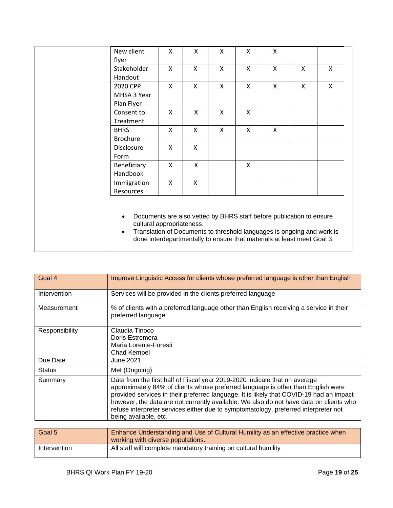| New client                | X            | X            | X            | X                         | X                         |                                                                         |              |  |
|---------------------------|--------------|--------------|--------------|---------------------------|---------------------------|-------------------------------------------------------------------------|--------------|--|
| flyer                     |              |              |              |                           |                           |                                                                         |              |  |
| Stakeholder               | X            | $\mathsf{X}$ | X            | X                         | X                         | X                                                                       | X            |  |
| Handout                   |              |              |              |                           |                           |                                                                         |              |  |
| 2020 CPP                  | $\mathsf{X}$ | $\mathsf{X}$ | $\mathsf{X}$ | $\mathsf{x}$              | $\mathsf{X}$              | $\mathsf{x}$                                                            | $\mathsf{x}$ |  |
| MHSA 3 Year               |              |              |              |                           |                           |                                                                         |              |  |
| Plan Flyer                |              |              |              |                           |                           |                                                                         |              |  |
| Consent to                | X            | X            | X            | X                         |                           |                                                                         |              |  |
| Treatment                 |              |              |              |                           |                           |                                                                         |              |  |
| <b>BHRS</b>               | X            | $\mathsf{X}$ | X            | $\boldsymbol{\mathsf{X}}$ | $\boldsymbol{\mathsf{X}}$ |                                                                         |              |  |
| <b>Brochure</b>           |              |              |              |                           |                           |                                                                         |              |  |
| Disclosure                | X            | X            |              |                           |                           |                                                                         |              |  |
| Form                      |              |              |              |                           |                           |                                                                         |              |  |
| Beneficiary               | X            | X            |              | X                         |                           |                                                                         |              |  |
| Handbook                  |              |              |              |                           |                           |                                                                         |              |  |
| Immigration               | X            | $\mathsf{X}$ |              |                           |                           |                                                                         |              |  |
| Resources                 |              |              |              |                           |                           |                                                                         |              |  |
|                           |              |              |              |                           |                           |                                                                         |              |  |
|                           |              |              |              |                           |                           |                                                                         |              |  |
|                           |              |              |              |                           |                           | Documents are also vetted by BHRS staff before publication to ensure    |              |  |
| cultural appropriateness. |              |              |              |                           |                           |                                                                         |              |  |
| $\bullet$                 |              |              |              |                           |                           | Translation of Documents to threshold languages is ongoing and work is  |              |  |
|                           |              |              |              |                           |                           | done interdepartmentally to ensure that materials at least meet Goal 3. |              |  |
|                           |              |              |              |                           |                           |                                                                         |              |  |

| Goal 4         | Improve Linguistic Access for clients whose preferred language is other than English                                                                                                                                                                                                                                                                                                                                                                                |
|----------------|---------------------------------------------------------------------------------------------------------------------------------------------------------------------------------------------------------------------------------------------------------------------------------------------------------------------------------------------------------------------------------------------------------------------------------------------------------------------|
| Intervention   | Services will be provided in the clients preferred language                                                                                                                                                                                                                                                                                                                                                                                                         |
| Measurement    | % of clients with a preferred language other than English receiving a service in their<br>preferred language                                                                                                                                                                                                                                                                                                                                                        |
| Responsibility | Claudia Tinoco<br>Doris Estremera<br>Maria Lorente-Foresti<br>Chad Kempel                                                                                                                                                                                                                                                                                                                                                                                           |
| Due Date       | <b>June 2021</b>                                                                                                                                                                                                                                                                                                                                                                                                                                                    |
| <b>Status</b>  | Met (Ongoing)                                                                                                                                                                                                                                                                                                                                                                                                                                                       |
| Summary        | Data from the first half of Fiscal year 2019-2020 indicate that on average<br>approximately 84% of clients whose preferred language is other than English were<br>provided services in their preferred language. It is likely that COVID-19 had an impact<br>however, the data are not currently available. We also do not have data on clients who<br>refuse interpreter services either due to symptomatology, preferred interpreter not<br>being available, etc. |
| $C = L$        | Enhance Understanding and Use of Outwall Lugilli cas on effective nuclies where                                                                                                                                                                                                                                                                                                                                                                                     |

| Goal 5       | Enhance Understanding and Use of Cultural Humility as an effective practice when<br>working with diverse populations. |
|--------------|-----------------------------------------------------------------------------------------------------------------------|
| Intervention | All staff will complete mandatory training on cultural humility                                                       |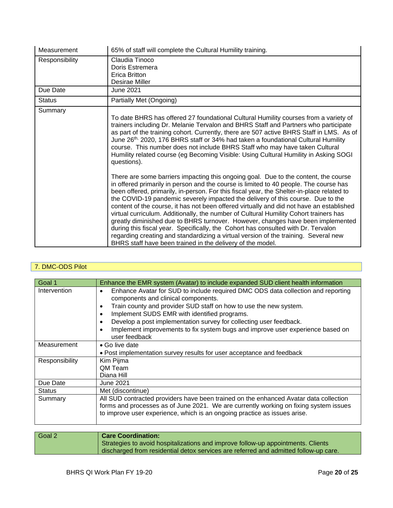| Measurement    | 65% of staff will complete the Cultural Humility training.                                                                                                                                                                                                                                                                                                                                                                                                                                                                                                                                                                                                                                                                                                                                                                                                                     |
|----------------|--------------------------------------------------------------------------------------------------------------------------------------------------------------------------------------------------------------------------------------------------------------------------------------------------------------------------------------------------------------------------------------------------------------------------------------------------------------------------------------------------------------------------------------------------------------------------------------------------------------------------------------------------------------------------------------------------------------------------------------------------------------------------------------------------------------------------------------------------------------------------------|
| Responsibility | Claudia Tinoco<br>Doris Estremera<br>Erica Britton<br>Desirae Miller                                                                                                                                                                                                                                                                                                                                                                                                                                                                                                                                                                                                                                                                                                                                                                                                           |
| Due Date       | June 2021                                                                                                                                                                                                                                                                                                                                                                                                                                                                                                                                                                                                                                                                                                                                                                                                                                                                      |
| <b>Status</b>  | Partially Met (Ongoing)                                                                                                                                                                                                                                                                                                                                                                                                                                                                                                                                                                                                                                                                                                                                                                                                                                                        |
| Summary        | To date BHRS has offered 27 foundational Cultural Humility courses from a variety of<br>trainers including Dr. Melanie Tervalon and BHRS Staff and Partners who participate<br>as part of the training cohort. Currently, there are 507 active BHRS Staff in LMS. As of<br>June 26 <sup>th,</sup> 2020, 176 BHRS staff or 34% had taken a foundational Cultural Humility<br>course. This number does not include BHRS Staff who may have taken Cultural<br>Humility related course (eg Becoming Visible: Using Cultural Humility in Asking SOGI<br>questions).                                                                                                                                                                                                                                                                                                                 |
|                | There are some barriers impacting this ongoing goal. Due to the content, the course<br>in offered primarily in person and the course is limited to 40 people. The course has<br>been offered, primarily, in-person. For this fiscal year, the Shelter-in-place related to<br>the COVID-19 pandemic severely impacted the delivery of this course. Due to the<br>content of the course, it has not been offered virtually and did not have an established<br>virtual curriculum. Additionally, the number of Cultural Humility Cohort trainers has<br>greatly diminished due to BHRS turnover. However, changes have been implemented<br>during this fiscal year. Specifically, the Cohort has consulted with Dr. Tervalon<br>regarding creating and standardizing a virtual version of the training. Several new<br>BHRS staff have been trained in the delivery of the model. |

#### 7. DMC-ODS Pilot

| Goal 1         | Enhance the EMR system (Avatar) to include expanded SUD client health information                                                                                                                                                                                                                                                                                                                                                                         |
|----------------|-----------------------------------------------------------------------------------------------------------------------------------------------------------------------------------------------------------------------------------------------------------------------------------------------------------------------------------------------------------------------------------------------------------------------------------------------------------|
| Intervention   | Enhance Avatar for SUD to include required DMC ODS data collection and reporting<br>٠<br>components and clinical components.<br>Train county and provider SUD staff on how to use the new system.<br>٠<br>Implement SUDS EMR with identified programs.<br>$\bullet$<br>Develop a post implementation survey for collecting user feedback.<br>$\bullet$<br>Implement improvements to fix system bugs and improve user experience based on<br>user feedback |
| Measurement    | • Go live date<br>• Post implementation survey results for user acceptance and feedback                                                                                                                                                                                                                                                                                                                                                                   |
| Responsibility | Kim Pijma<br><b>QM Team</b><br>Diana Hill                                                                                                                                                                                                                                                                                                                                                                                                                 |
| Due Date       | June 2021                                                                                                                                                                                                                                                                                                                                                                                                                                                 |
| <b>Status</b>  | Met (discontinue)                                                                                                                                                                                                                                                                                                                                                                                                                                         |
| Summary        | All SUD contracted providers have been trained on the enhanced Avatar data collection<br>forms and processes as of June 2021. We are currently working on fixing system issues<br>to improve user experience, which is an ongoing practice as issues arise.                                                                                                                                                                                               |

#### Goal 2 **Care Coordination:** Strategies to avoid hospitalizations and improve follow-up appointments. Clients discharged from residential detox services are referred and admitted follow-up care.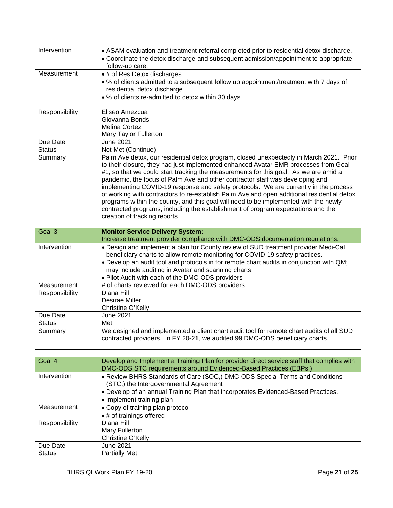| Intervention   | • ASAM evaluation and treatment referral completed prior to residential detox discharge.<br>• Coordinate the detox discharge and subsequent admission/appointment to appropriate<br>follow-up care.                                                                                                                                                                                                                                                                                                                                                                                                                                                                                                                                                       |
|----------------|-----------------------------------------------------------------------------------------------------------------------------------------------------------------------------------------------------------------------------------------------------------------------------------------------------------------------------------------------------------------------------------------------------------------------------------------------------------------------------------------------------------------------------------------------------------------------------------------------------------------------------------------------------------------------------------------------------------------------------------------------------------|
| Measurement    | • # of Res Detox discharges<br>. % of clients admitted to a subsequent follow up appointment/treatment with 7 days of<br>residential detox discharge<br>• % of clients re-admitted to detox within 30 days                                                                                                                                                                                                                                                                                                                                                                                                                                                                                                                                                |
| Responsibility | Eliseo Amezcua<br>Giovanna Bonds<br>Melina Cortez<br>Mary Taylor Fullerton                                                                                                                                                                                                                                                                                                                                                                                                                                                                                                                                                                                                                                                                                |
| Due Date       | June 2021                                                                                                                                                                                                                                                                                                                                                                                                                                                                                                                                                                                                                                                                                                                                                 |
| <b>Status</b>  | Not Met (Continue)                                                                                                                                                                                                                                                                                                                                                                                                                                                                                                                                                                                                                                                                                                                                        |
| Summary        | Palm Ave detox, our residential detox program, closed unexpectedly in March 2021. Prior<br>to their closure, they had just implemented enhanced Avatar EMR processes from Goal<br>#1, so that we could start tracking the measurements for this goal. As we are amid a<br>pandemic, the focus of Palm Ave and other contractor staff was developing and<br>implementing COVID-19 response and safety protocols. We are currently in the process<br>of working with contractors to re-establish Palm Ave and open additional residential detox<br>programs within the county, and this goal will need to be implemented with the newly<br>contracted programs, including the establishment of program expectations and the<br>creation of tracking reports |

| Goal 3         | <b>Monitor Service Delivery System:</b>                                                                                                                                                                                                                                                                               |
|----------------|-----------------------------------------------------------------------------------------------------------------------------------------------------------------------------------------------------------------------------------------------------------------------------------------------------------------------|
|                | Increase treatment provider compliance with DMC-ODS documentation regulations.                                                                                                                                                                                                                                        |
| Intervention   | . Design and implement a plan for County review of SUD treatment provider Medi-Cal<br>beneficiary charts to allow remote monitoring for COVID-19 safety practices.<br>. Develop an audit tool and protocols in for remote chart audits in conjunction with QM;<br>may include auditing in Avatar and scanning charts. |
|                | . Pilot Audit with each of the DMC-ODS providers                                                                                                                                                                                                                                                                      |
| Measurement    | # of charts reviewed for each DMC-ODS providers                                                                                                                                                                                                                                                                       |
| Responsibility | Diana Hill<br>Desirae Miller                                                                                                                                                                                                                                                                                          |
|                | Christine O'Kelly                                                                                                                                                                                                                                                                                                     |
| Due Date       | <b>June 2021</b>                                                                                                                                                                                                                                                                                                      |
| <b>Status</b>  | Met                                                                                                                                                                                                                                                                                                                   |
| Summary        | We designed and implemented a client chart audit tool for remote chart audits of all SUD<br>contracted providers. In FY 20-21, we audited 99 DMC-ODS beneficiary charts.                                                                                                                                              |

| Goal 4         | Develop and Implement a Training Plan for provider direct service staff that complies with<br>DMC-ODS STC requirements around Evidenced-Based Practices (EBPs.)                                                                         |
|----------------|-----------------------------------------------------------------------------------------------------------------------------------------------------------------------------------------------------------------------------------------|
| Intervention   | • Review BHRS Standards of Care (SOC,) DMC-ODS Special Terms and Conditions<br>(STC,) the Intergovernmental Agreement<br>. Develop of an annual Training Plan that incorporates Evidenced-Based Practices.<br>• Implement training plan |
| Measurement    | • Copy of training plan protocol                                                                                                                                                                                                        |
|                | • # of trainings offered                                                                                                                                                                                                                |
| Responsibility | Diana Hill                                                                                                                                                                                                                              |
|                | Mary Fullerton                                                                                                                                                                                                                          |
|                | Christine O'Kelly                                                                                                                                                                                                                       |
| Due Date       | June 2021                                                                                                                                                                                                                               |
| <b>Status</b>  | <b>Partially Met</b>                                                                                                                                                                                                                    |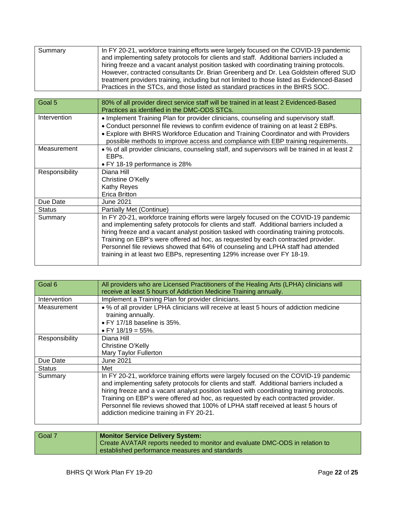| Summary | In FY 20-21, workforce training efforts were largely focused on the COVID-19 pandemic      |
|---------|--------------------------------------------------------------------------------------------|
|         | and implementing safety protocols for clients and staff. Additional barriers included a    |
|         | hiring freeze and a vacant analyst position tasked with coordinating training protocols.   |
|         | However, contracted consultants Dr. Brian Greenberg and Dr. Lea Goldstein offered SUD      |
|         | treatment providers training, including but not limited to those listed as Evidenced-Based |
|         | Practices in the STCs, and those listed as standard practices in the BHRS SOC.             |

| Goal 5         | 80% of all provider direct service staff will be trained in at least 2 Evidenced-Based<br>Practices as identified in the DMC-ODS STCs.                                                                                                                                                                                                                                                                                                                                                                                           |
|----------------|----------------------------------------------------------------------------------------------------------------------------------------------------------------------------------------------------------------------------------------------------------------------------------------------------------------------------------------------------------------------------------------------------------------------------------------------------------------------------------------------------------------------------------|
| Intervention   | • Implement Training Plan for provider clinicians, counseling and supervisory staff.<br>• Conduct personnel file reviews to confirm evidence of training on at least 2 EBPs.<br>• Explore with BHRS Workforce Education and Training Coordinator and with Providers<br>possible methods to improve access and compliance with EBP training requirements.                                                                                                                                                                         |
| Measurement    | • % of all provider clinicians, counseling staff, and supervisors will be trained in at least 2<br>EBP <sub>S</sub><br>• FY 18-19 performance is 28%                                                                                                                                                                                                                                                                                                                                                                             |
| Responsibility | Diana Hill<br>Christine O'Kelly<br>Kathy Reyes<br><b>Erica Britton</b>                                                                                                                                                                                                                                                                                                                                                                                                                                                           |
| Due Date       | June 2021                                                                                                                                                                                                                                                                                                                                                                                                                                                                                                                        |
| <b>Status</b>  | Partially Met (Continue)                                                                                                                                                                                                                                                                                                                                                                                                                                                                                                         |
| Summary        | In FY 20-21, workforce training efforts were largely focused on the COVID-19 pandemic<br>and implementing safety protocols for clients and staff. Additional barriers included a<br>hiring freeze and a vacant analyst position tasked with coordinating training protocols.<br>Training on EBP's were offered ad hoc, as requested by each contracted provider.<br>Personnel file reviews showed that 64% of counseling and LPHA staff had attended<br>training in at least two EBPs, representing 129% increase over FY 18-19. |

| Goal 6         | All providers who are Licensed Practitioners of the Healing Arts (LPHA) clinicians will<br>receive at least 5 hours of Addiction Medicine Training annually.                                                                                                                                                                                                                                                                                                                                       |
|----------------|----------------------------------------------------------------------------------------------------------------------------------------------------------------------------------------------------------------------------------------------------------------------------------------------------------------------------------------------------------------------------------------------------------------------------------------------------------------------------------------------------|
| Intervention   | Implement a Training Plan for provider clinicians.                                                                                                                                                                                                                                                                                                                                                                                                                                                 |
| Measurement    | . % of all provider LPHA clinicians will receive at least 5 hours of addiction medicine<br>training annually.<br>$\bullet$ FY 17/18 baseline is 35%.<br>• FY 18/19 = 55%.                                                                                                                                                                                                                                                                                                                          |
| Responsibility | Diana Hill<br>Christine O'Kelly<br>Mary Taylor Fullerton                                                                                                                                                                                                                                                                                                                                                                                                                                           |
| Due Date       | <b>June 2021</b>                                                                                                                                                                                                                                                                                                                                                                                                                                                                                   |
| <b>Status</b>  | Met                                                                                                                                                                                                                                                                                                                                                                                                                                                                                                |
| Summary        | In FY 20-21, workforce training efforts were largely focused on the COVID-19 pandemic<br>and implementing safety protocols for clients and staff. Additional barriers included a<br>hiring freeze and a vacant analyst position tasked with coordinating training protocols.<br>Training on EBP's were offered ad hoc, as requested by each contracted provider.<br>Personnel file reviews showed that 100% of LPHA staff received at least 5 hours of<br>addiction medicine training in FY 20-21. |

| Goal 7 | <b>Monitor Service Delivery System:</b>                                     |
|--------|-----------------------------------------------------------------------------|
|        | Create AVATAR reports needed to monitor and evaluate DMC-ODS in relation to |
|        | established performance measures and standards                              |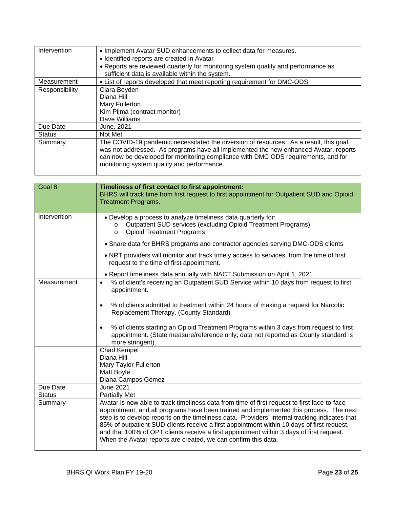| Intervention   | • Implement Avatar SUD enhancements to collect data for measures.<br>• Identified reports are created in Avatar                                                                                                                                                                                                  |
|----------------|------------------------------------------------------------------------------------------------------------------------------------------------------------------------------------------------------------------------------------------------------------------------------------------------------------------|
|                | • Reports are reviewed quarterly for monitoring system quality and performance as<br>sufficient data is available within the system.                                                                                                                                                                             |
| Measurement    | • List of reports developed that meet reporting requirement for DMC-ODS                                                                                                                                                                                                                                          |
| Responsibility | Clara Boyden                                                                                                                                                                                                                                                                                                     |
|                | Diana Hill                                                                                                                                                                                                                                                                                                       |
|                | Mary Fullerton                                                                                                                                                                                                                                                                                                   |
|                | Kim Pijma (contract monitor)                                                                                                                                                                                                                                                                                     |
|                | Dave Williams                                                                                                                                                                                                                                                                                                    |
| Due Date       | June, 2021                                                                                                                                                                                                                                                                                                       |
| <b>Status</b>  | Not Met                                                                                                                                                                                                                                                                                                          |
| Summary        | The COVID-19 pandemic necessitated the diversion of resources. As a result, this goal<br>was not addressed. As programs have all implemented the new enhanced Avatar, reports<br>can now be developed for monitoring compliance with DMC ODS requirements, and for<br>monitoring system quality and performance. |

| Goal 8        | Timeliness of first contact to first appointment:<br>BHRS will track time from first request to first appointment for Outpatient SUD and Opioid<br><b>Treatment Programs.</b>                                                                                                                                                                                                                                                                                                                                                                        |
|---------------|------------------------------------------------------------------------------------------------------------------------------------------------------------------------------------------------------------------------------------------------------------------------------------------------------------------------------------------------------------------------------------------------------------------------------------------------------------------------------------------------------------------------------------------------------|
| Intervention  | . Develop a process to analyze timeliness data quarterly for:<br>Outpatient SUD services (excluding Opioid Treatment Programs)<br>$\circ$<br><b>Opioid Treatment Programs</b><br>$\circ$                                                                                                                                                                                                                                                                                                                                                             |
|               | • Share data for BHRS programs and contractor agencies serving DMC-ODS clients                                                                                                                                                                                                                                                                                                                                                                                                                                                                       |
|               | . NRT providers will monitor and track timely access to services, from the time of first<br>request to the time of first appointment.                                                                                                                                                                                                                                                                                                                                                                                                                |
|               | . Report timeliness data annually with NACT Submission on April 1, 2021.                                                                                                                                                                                                                                                                                                                                                                                                                                                                             |
| Measurement   | % of client's receiving an Outpatient SUD Service within 10 days from request to first<br>$\bullet$<br>appointment.                                                                                                                                                                                                                                                                                                                                                                                                                                  |
|               | % of clients admitted to treatment within 24 hours of making a request for Narcotic<br>$\bullet$<br>Replacement Therapy. (County Standard)                                                                                                                                                                                                                                                                                                                                                                                                           |
|               | % of clients starting an Opioid Treatment Programs within 3 days from request to first<br>$\bullet$<br>appointment. (State measure/reference only; data not reported as County standard is<br>more stringent).                                                                                                                                                                                                                                                                                                                                       |
|               | Chad Kempel                                                                                                                                                                                                                                                                                                                                                                                                                                                                                                                                          |
|               | Diana Hill                                                                                                                                                                                                                                                                                                                                                                                                                                                                                                                                           |
|               | Mary Taylor Fullerton<br>Matt Boyle                                                                                                                                                                                                                                                                                                                                                                                                                                                                                                                  |
|               | Diana Campos Gomez                                                                                                                                                                                                                                                                                                                                                                                                                                                                                                                                   |
| Due Date      | <b>June 2021</b>                                                                                                                                                                                                                                                                                                                                                                                                                                                                                                                                     |
| <b>Status</b> | <b>Partially Met</b>                                                                                                                                                                                                                                                                                                                                                                                                                                                                                                                                 |
| Summary       | Avatar is now able to track timeliness data from time of first request to first face-to-face<br>appointment, and all programs have been trained and implemented this process. The next<br>step is to develop reports on the timeliness data. Providers' internal tracking indicates that<br>85% of outpatient SUD clients receive a first appointment within 10 days of first request,<br>and that 100% of OPT clients receive a first appointment within 3 days of first request.<br>When the Avatar reports are created, we can confirm this data. |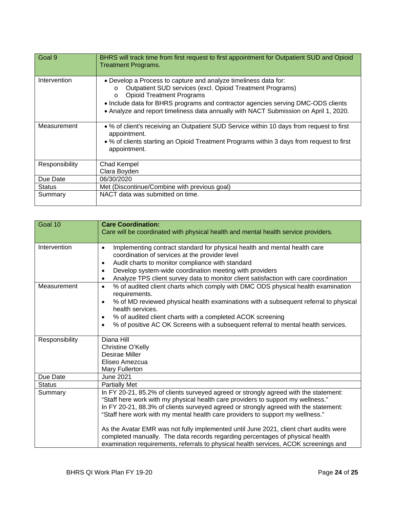| Goal 9         | BHRS will track time from first request to first appointment for Outpatient SUD and Opioid<br><b>Treatment Programs.</b>                                                                                                                                                                                                                                           |
|----------------|--------------------------------------------------------------------------------------------------------------------------------------------------------------------------------------------------------------------------------------------------------------------------------------------------------------------------------------------------------------------|
| Intervention   | . Develop a Process to capture and analyze timeliness data for:<br>Outpatient SUD services (excl. Opioid Treatment Programs)<br>$\circ$<br><b>Opioid Treatment Programs</b><br>$\circ$<br>• Include data for BHRS programs and contractor agencies serving DMC-ODS clients<br>. Analyze and report timeliness data annually with NACT Submission on April 1, 2020. |
| Measurement    | • % of client's receiving an Outpatient SUD Service within 10 days from request to first<br>appointment.<br>• % of clients starting an Opioid Treatment Programs within 3 days from request to first<br>appointment.                                                                                                                                               |
| Responsibility | Chad Kempel<br>Clara Boyden                                                                                                                                                                                                                                                                                                                                        |
| Due Date       | 06/30/2020                                                                                                                                                                                                                                                                                                                                                         |
| <b>Status</b>  | Met (Discontinue/Combine with previous goal)                                                                                                                                                                                                                                                                                                                       |
| Summary        | NACT data was submitted on time.                                                                                                                                                                                                                                                                                                                                   |

| Goal 10        | <b>Care Coordination:</b><br>Care will be coordinated with physical health and mental health service providers.                                                                                                                                                                                                                                                                                                                             |
|----------------|---------------------------------------------------------------------------------------------------------------------------------------------------------------------------------------------------------------------------------------------------------------------------------------------------------------------------------------------------------------------------------------------------------------------------------------------|
| Intervention   | Implementing contract standard for physical health and mental health care<br>$\bullet$<br>coordination of services at the provider level<br>Audit charts to monitor compliance with standard<br>$\bullet$<br>Develop system-wide coordination meeting with providers<br>$\bullet$<br>Analyze TPS client survey data to monitor client satisfaction with care coordination                                                                   |
| Measurement    | % of audited client charts which comply with DMC ODS physical health examination<br>$\bullet$<br>requirements.<br>% of MD reviewed physical health examinations with a subsequent referral to physical<br>health services.<br>% of audited client charts with a completed ACOK screening<br>$\bullet$<br>% of positive AC OK Screens with a subsequent referral to mental health services.                                                  |
| Responsibility | Diana Hill<br>Christine O'Kelly<br>Desirae Miller<br>Eliseo Amezcua<br>Mary Fullerton                                                                                                                                                                                                                                                                                                                                                       |
| Due Date       | <b>June 2021</b>                                                                                                                                                                                                                                                                                                                                                                                                                            |
| <b>Status</b>  | <b>Partially Met</b>                                                                                                                                                                                                                                                                                                                                                                                                                        |
| Summary        | In FY 20-21, 85.2% of clients surveyed agreed or strongly agreed with the statement:<br>"Staff here work with my physical health care providers to support my wellness."<br>In FY 20-21, 88.3% of clients surveyed agreed or strongly agreed with the statement:<br>"Staff here work with my mental health care providers to support my wellness."<br>As the Avatar EMR was not fully implemented until June 2021, client chart audits were |
|                | completed manually. The data records regarding percentages of physical health<br>examination requirements, referrals to physical health services, ACOK screenings and                                                                                                                                                                                                                                                                       |